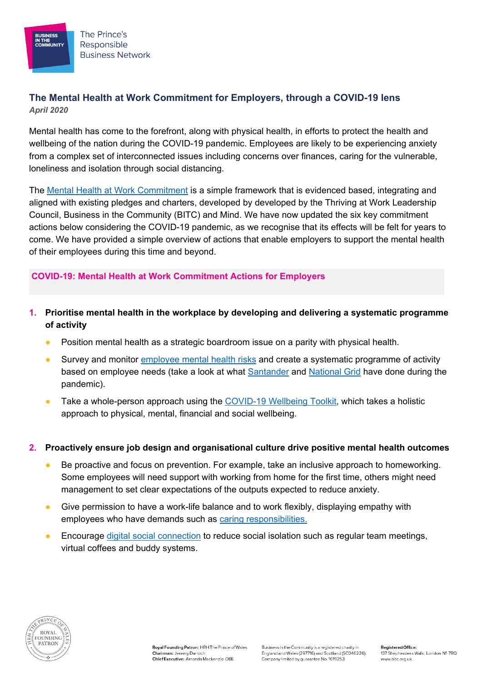The Prince's Responsible **Business Network** 

IN THE<br>COMMUNITY

# **The Mental Health at Work Commitment for Employers, through a COVID-19 lens** *April 2020*

Mental health has come to the forefront, along with physical health, in efforts to protect the health and wellbeing of the nation during the COVID-19 pandemic. Employees are likely to be experiencing anxiety from a complex set of interconnected issues including concerns over finances, caring for the vulnerable, loneliness and isolation through social distancing.

The [Mental Health at Work Commitment](https://www.mentalhealthatwork.org.uk/commitment/#make_the_commitment) is a simple framework that is evidenced based, integrating and aligned with existing pledges and charters, developed by developed by the Thriving at Work Leadership Council, Business in the Community (BITC) and Mind. We have now updated the six key commitment actions below considering the COVID-19 pandemic, as we recognise that its effects will be felt for years to come. We have provided a simple overview of actions that enable employers to support the mental health of their employees during this time and beyond.

## **COVID-19: Mental Health at Work Commitment Actions for Employers**

### **1. Prioritise mental health in the workplace by developing and delivering a systematic programme of activity**

- Position mental health as a strategic boardroom issue on a parity with physical health.
- Survey and monitor [employee mental health risks](https://www.hse.gov.uk/stress/standards/index.htm) and create a systematic programme of activity based on employee needs (take a look at what [Santander](https://www.bitc.org.uk/case-study/santander-keeping-staff-wellbeing-at-front-of-mind/) and [National Grid](https://www.bitc.org.uk/case-study/national-grid-making-a-difference-during-the-covid-19-outbreak/) have done during the pandemic).
- Take a whole-person approach using the [COVID-19](https://www.bitc.org.uk/toolkit/covid-19-employee-health-and-wellbeing/) Wellbeing Toolkit, which takes a holistic approach to physical, mental, financial and social wellbeing.

#### **2. Proactively ensure job design and organisational culture drive positive mental health outcomes**

- Be proactive and focus on prevention. For example, take an inclusive approach to homeworking. Some employees will need support with working from home for the first time, others might need management to set clear expectations of the outputs expected to reduce anxiety.
- Give permission to have a work-life balance and to work flexibly, displaying empathy with employees who have demands such as [caring responsibilities.](https://www.bitc.org.uk/toolkit/covid-19-supporting-carers-in-the-workplace/)
- Encourage [digital social connection](https://www.bitc.org.uk/toolkit/covid-19-digital-technologies-to-support-wellbeing/) to reduce social isolation such as regular team meetings, virtual coffees and buddy systems.